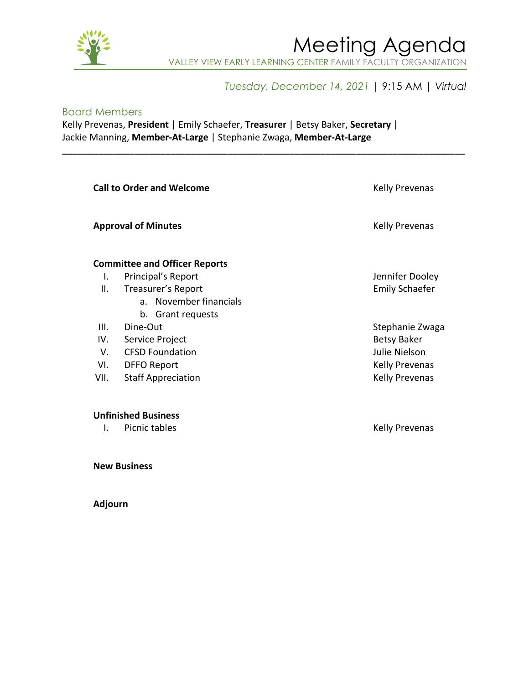

## Meeting Agenda VALLEY VIEW EARLY LEARNING CENTER FAMILY FACULTY ORGANIZATION

### *Tuesday, December 14, 2021* | 9:15 AM | *Virtual*

#### Board Members

Kelly Prevenas, **President** | Emily Schaefer, **Treasurer** | Betsy Baker, **Secretary** | Jackie Manning, **Member-At-Large** | Stephanie Zwaga, **Member-At-Large**

| <b>Call to Order and Welcome</b> |                                      | <b>Kelly Prevenas</b> |
|----------------------------------|--------------------------------------|-----------------------|
|                                  | <b>Approval of Minutes</b>           | <b>Kelly Prevenas</b> |
|                                  | <b>Committee and Officer Reports</b> |                       |
| I.                               | Principal's Report                   | Jennifer Dooley       |
| Ш.                               | Treasurer's Report                   | <b>Emily Schaefer</b> |
|                                  | a. November financials               |                       |
|                                  | b. Grant requests                    |                       |
| III.                             | Dine-Out                             | Stephanie Zwaga       |
| IV.                              | Service Project                      | <b>Betsy Baker</b>    |
| V.                               | <b>CFSD Foundation</b>               | Julie Nielson         |
| VI.                              | <b>DFFO Report</b>                   | <b>Kelly Prevenas</b> |
| VII.                             | <b>Staff Appreciation</b>            | <b>Kelly Prevenas</b> |
|                                  |                                      |                       |
|                                  | <b>Unfinished Business</b>           |                       |
|                                  |                                      |                       |

**\_\_\_\_\_\_\_\_\_\_\_\_\_\_\_\_\_\_\_\_\_\_\_\_\_\_\_\_\_\_\_\_\_\_\_\_\_\_\_\_\_\_\_\_\_\_\_\_\_\_\_\_\_\_\_\_\_\_\_\_\_\_\_\_\_\_\_\_\_\_\_\_\_\_\_\_\_\_**

I. Picnic tables **Kelly Prevenas** 

**New Business**

**Adjourn**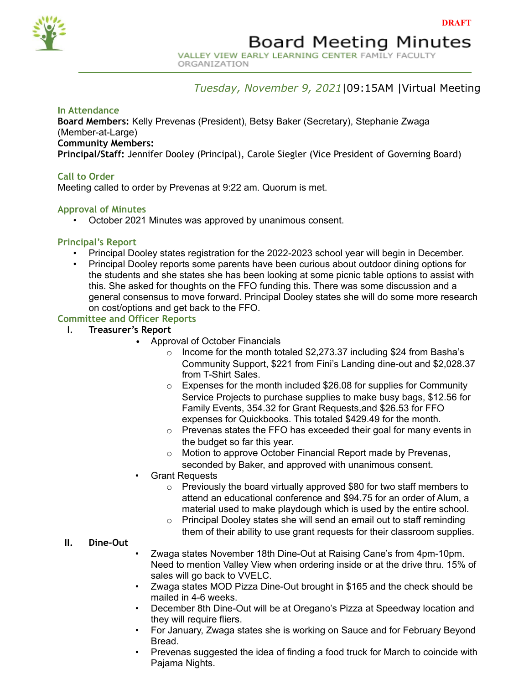

# **Board Meeting Minutes**

VALLEY VIEW EARLY LEARNING CENTER FAMILY FACULTY ORGANIZATION

#### *Tuesday, November 9, 2021*|09:15AM |Virtual Meeting

#### **In Attendance**

**Board Members:** Kelly Prevenas (President), Betsy Baker (Secretary), Stephanie Zwaga (Member-at-Large)

**Community Members:**

**Principal/Staff:** Jennifer Dooley (Principal), Carole Siegler (Vice President of Governing Board)

#### **Call to Order**

Meeting called to order by Prevenas at 9:22 am. Quorum is met.

#### **Approval of Minutes**

• October 2021 Minutes was approved by unanimous consent.

#### **Principal's Report**

- Principal Dooley states registration for the 2022-2023 school year will begin in December.
- Principal Dooley reports some parents have been curious about outdoor dining options for the students and she states she has been looking at some picnic table options to assist with this. She asked for thoughts on the FFO funding this. There was some discussion and a general consensus to move forward. Principal Dooley states she will do some more research on cost/options and get back to the FFO.

#### **Committee and Officer Reports**

- I. **Treasurer's Report**
	- Approval of October Financials
		- $\circ$  Income for the month totaled \$2,273.37 including \$24 from Basha's Community Support, \$221 from Fini's Landing dine-out and \$2,028.37 from T-Shirt Sales.
		- $\circ$  Expenses for the month included \$26.08 for supplies for Community Service Projects to purchase supplies to make busy bags, \$12.56 for Family Events, 354.32 for Grant Requests,and \$26.53 for FFO expenses for Quickbooks. This totaled \$429.49 for the month.
		- o Prevenas states the FFO has exceeded their goal for many events in the budget so far this year.
		- o Motion to approve October Financial Report made by Prevenas, seconded by Baker, and approved with unanimous consent.
		- Grant Requests
			- o Previously the board virtually approved \$80 for two staff members to attend an educational conference and \$94.75 for an order of Alum, a material used to make playdough which is used by the entire school.
			- o Principal Dooley states she will send an email out to staff reminding them of their ability to use grant requests for their classroom supplies.

#### **II. Dine-Out**

- Zwaga states November 18th Dine-Out at Raising Cane's from 4pm-10pm. Need to mention Valley View when ordering inside or at the drive thru. 15% of sales will go back to VVELC.
- Zwaga states MOD Pizza Dine-Out brought in \$165 and the check should be mailed in 4-6 weeks.
- December 8th Dine-Out will be at Oregano's Pizza at Speedway location and they will require fliers.
- For January, Zwaga states she is working on Sauce and for February Beyond Bread.
- Prevenas suggested the idea of finding a food truck for March to coincide with Pajama Nights.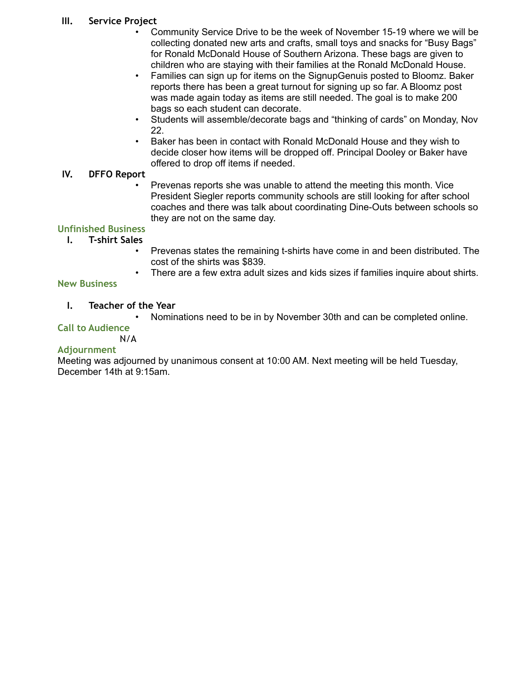#### **III. Service Project**

- Community Service Drive to be the week of November 15-19 where we will be collecting donated new arts and crafts, small toys and snacks for "Busy Bags" for Ronald McDonald House of Southern Arizona. These bags are given to children who are staying with their families at the Ronald McDonald House.
- Families can sign up for items on the SignupGenuis posted to Bloomz. Baker reports there has been a great turnout for signing up so far. A Bloomz post was made again today as items are still needed. The goal is to make 200 bags so each student can decorate.
- Students will assemble/decorate bags and "thinking of cards" on Monday, Nov 22.
- Baker has been in contact with Ronald McDonald House and they wish to decide closer how items will be dropped off. Principal Dooley or Baker have offered to drop off items if needed.

#### **IV. DFFO Report**

• Prevenas reports she was unable to attend the meeting this month. Vice President Siegler reports community schools are still looking for after school coaches and there was talk about coordinating Dine-Outs between schools so they are not on the same day.

### **Unfinished Business**

- **I. T-shirt Sales**
	- Prevenas states the remaining t-shirts have come in and been distributed. The cost of the shirts was \$839.
	- There are a few extra adult sizes and kids sizes if families inquire about shirts.

#### **New Business**

#### **I. Teacher of the Year**

• Nominations need to be in by November 30th and can be completed online.

### **Call to Audience**

## N/A

#### **Adjournment**

Meeting was adjourned by unanimous consent at 10:00 AM. Next meeting will be held Tuesday, December 14th at 9:15am.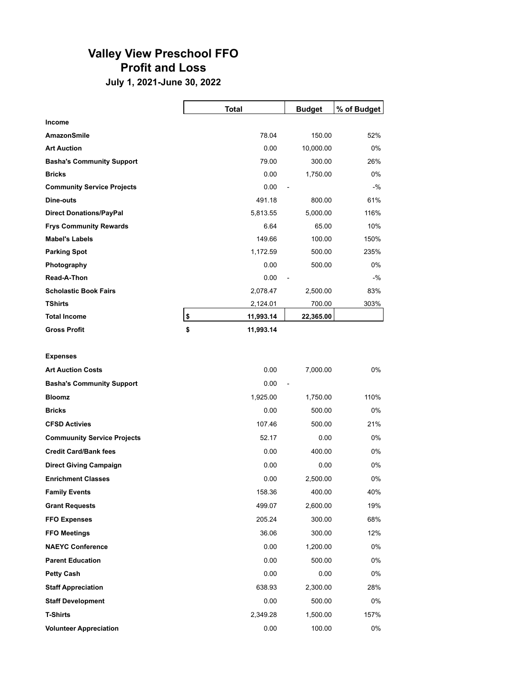## **Valley View Preschool FFO Profit and Loss**

**July 1, 2021-June 30, 2022**

|                                   | <b>Total</b>    | <b>Budget</b>  | % of Budget |
|-----------------------------------|-----------------|----------------|-------------|
| <b>Income</b>                     |                 |                |             |
| AmazonSmile                       | 78.04           | 150.00         | 52%         |
| <b>Art Auction</b>                | 0.00            | 10,000.00      | 0%          |
| <b>Basha's Community Support</b>  | 79.00           | 300.00         | 26%         |
| <b>Bricks</b>                     | 0.00            | 1,750.00       | $0\%$       |
| <b>Community Service Projects</b> | 0.00            | $\overline{a}$ | $-$ %       |
| Dine-outs                         | 491.18          | 800.00         | 61%         |
| <b>Direct Donations/PayPal</b>    | 5,813.55        | 5,000.00       | 116%        |
| <b>Frys Community Rewards</b>     | 6.64            | 65.00          | 10%         |
| <b>Mabel's Labels</b>             | 149.66          | 100.00         | 150%        |
| <b>Parking Spot</b>               | 1,172.59        | 500.00         | 235%        |
| Photography                       | 0.00            | 500.00         | 0%          |
| Read-A-Thon                       | 0.00            | $\overline{a}$ | $-9/6$      |
| <b>Scholastic Book Fairs</b>      | 2,078.47        | 2,500.00       | 83%         |
| <b>TShirts</b>                    | 2,124.01        | 700.00         | 303%        |
| <b>Total Income</b>               | \$<br>11,993.14 | 22,365.00      |             |
| <b>Gross Profit</b>               | \$<br>11,993.14 |                |             |

**Expenses**

| <b>Art Auction Costs</b>           | 0.00     | 7,000.00                 | 0%   |
|------------------------------------|----------|--------------------------|------|
| <b>Basha's Community Support</b>   | 0.00     | $\overline{\phantom{a}}$ |      |
| <b>Bloomz</b>                      | 1,925.00 | 1,750.00                 | 110% |
| <b>Bricks</b>                      | 0.00     | 500.00                   | 0%   |
| <b>CFSD Activies</b>               | 107.46   | 500.00                   | 21%  |
| <b>Commuunity Service Projects</b> | 52.17    | 0.00                     | 0%   |
| <b>Credit Card/Bank fees</b>       | 0.00     | 400.00                   | 0%   |
| <b>Direct Giving Campaign</b>      | 0.00     | 0.00                     | 0%   |
| <b>Enrichment Classes</b>          | 0.00     | 2,500.00                 | 0%   |
| <b>Family Events</b>               | 158.36   | 400.00                   | 40%  |
| <b>Grant Requests</b>              | 499.07   | 2,600.00                 | 19%  |
| <b>FFO Expenses</b>                | 205.24   | 300.00                   | 68%  |
| <b>FFO Meetings</b>                | 36.06    | 300.00                   | 12%  |
| <b>NAEYC Conference</b>            | 0.00     | 1,200.00                 | 0%   |
| <b>Parent Education</b>            | 0.00     | 500.00                   | 0%   |
| <b>Petty Cash</b>                  | 0.00     | 0.00                     | 0%   |
| <b>Staff Appreciation</b>          | 638.93   | 2,300.00                 | 28%  |
| <b>Staff Development</b>           | 0.00     | 500.00                   | 0%   |
| <b>T-Shirts</b>                    | 2,349.28 | 1,500.00                 | 157% |
| <b>Volunteer Appreciation</b>      | 0.00     | 100.00                   | 0%   |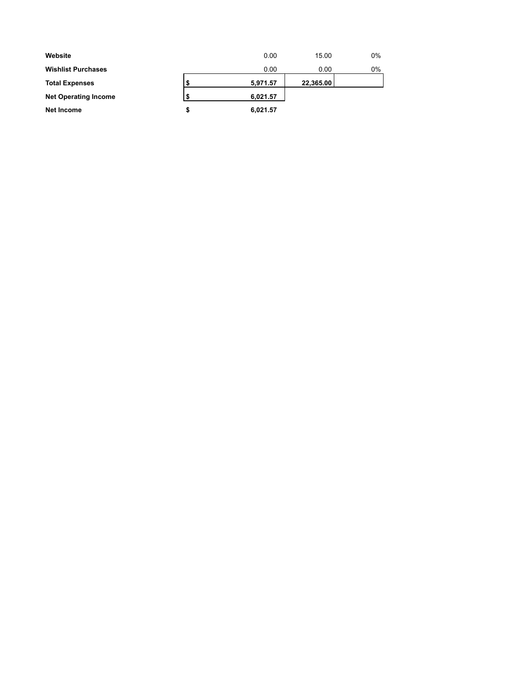| Website                     |   | 0.00     | 15.00     | $0\%$ |
|-----------------------------|---|----------|-----------|-------|
| <b>Wishlist Purchases</b>   |   | 0.00     | 0.00      | 0%    |
| <b>Total Expenses</b>       |   | 5,971.57 | 22,365.00 |       |
| <b>Net Operating Income</b> |   | 6,021.57 |           |       |
| Net Income                  | S | 6,021.57 |           |       |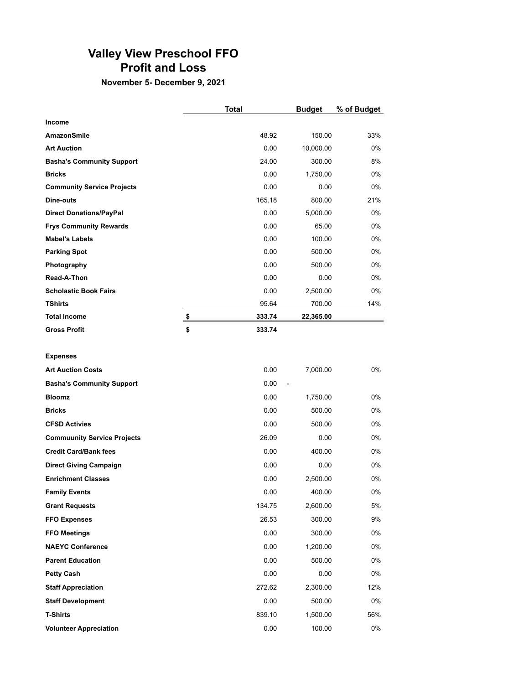### **Valley View Preschool FFO Profit and Loss**

**November 5- December 9, 2021**

|                                   | <b>Total</b> | <b>Budget</b> | % of Budget |
|-----------------------------------|--------------|---------------|-------------|
| <b>Income</b>                     |              |               |             |
| AmazonSmile                       | 48.92        | 150.00        | 33%         |
| <b>Art Auction</b>                | 0.00         | 10,000.00     | $0\%$       |
| <b>Basha's Community Support</b>  | 24.00        | 300.00        | 8%          |
| <b>Bricks</b>                     | 0.00         | 1,750.00      | 0%          |
| <b>Community Service Projects</b> | 0.00         | 0.00          | 0%          |
| Dine-outs                         | 165.18       | 800.00        | 21%         |
| <b>Direct Donations/PayPal</b>    | 0.00         | 5,000.00      | $0\%$       |
| <b>Frys Community Rewards</b>     | 0.00         | 65.00         | $0\%$       |
| <b>Mabel's Labels</b>             | 0.00         | 100.00        | 0%          |
| <b>Parking Spot</b>               | 0.00         | 500.00        | $0\%$       |
| Photography                       | 0.00         | 500.00        | $0\%$       |
| Read-A-Thon                       | 0.00         | 0.00          | $0\%$       |
| <b>Scholastic Book Fairs</b>      | 0.00         | 2,500.00      | $0\%$       |
| <b>TShirts</b>                    | 95.64        | 700.00        | 14%         |
| <b>Total Income</b>               | \$<br>333.74 | 22,365.00     |             |
| <b>Gross Profit</b>               | \$<br>333.74 |               |             |

#### **Expenses**

| <b>Art Auction Costs</b>           | 0.00   | 7,000.00       | 0%  |
|------------------------------------|--------|----------------|-----|
| <b>Basha's Community Support</b>   | 0.00   | $\overline{a}$ |     |
| <b>Bloomz</b>                      | 0.00   | 1,750.00       | 0%  |
| <b>Bricks</b>                      | 0.00   | 500.00         | 0%  |
| <b>CFSD Activies</b>               | 0.00   | 500.00         | 0%  |
| <b>Commuunity Service Projects</b> | 26.09  | 0.00           | 0%  |
| <b>Credit Card/Bank fees</b>       | 0.00   | 400.00         | 0%  |
| <b>Direct Giving Campaign</b>      | 0.00   | 0.00           | 0%  |
| <b>Enrichment Classes</b>          | 0.00   | 2,500.00       | 0%  |
| <b>Family Events</b>               | 0.00   | 400.00         | 0%  |
| <b>Grant Requests</b>              | 134.75 | 2,600.00       | 5%  |
| <b>FFO Expenses</b>                | 26.53  | 300.00         | 9%  |
| <b>FFO Meetings</b>                | 0.00   | 300.00         | 0%  |
| <b>NAEYC Conference</b>            | 0.00   | 1,200.00       | 0%  |
| <b>Parent Education</b>            | 0.00   | 500.00         | 0%  |
| <b>Petty Cash</b>                  | 0.00   | 0.00           | 0%  |
| <b>Staff Appreciation</b>          | 272.62 | 2,300.00       | 12% |
| <b>Staff Development</b>           | 0.00   | 500.00         | 0%  |
| <b>T-Shirts</b>                    | 839.10 | 1,500.00       | 56% |
| <b>Volunteer Appreciation</b>      | 0.00   | 100.00         | 0%  |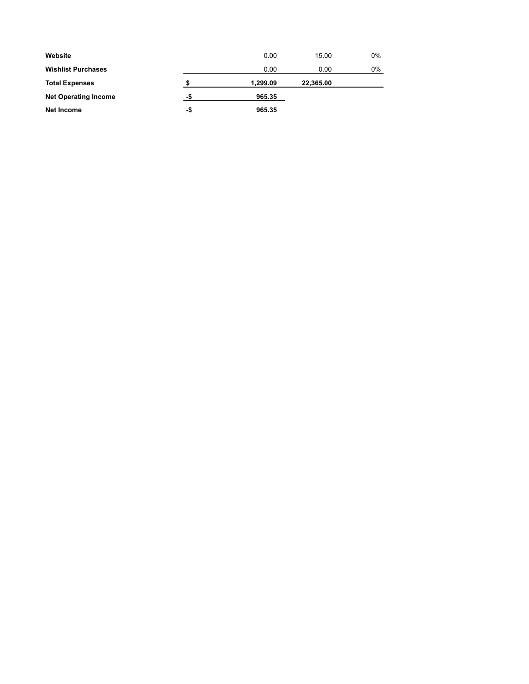| Website                     |     | 0.00     | 15.00     | 0% |
|-----------------------------|-----|----------|-----------|----|
| <b>Wishlist Purchases</b>   |     | 0.00     | 0.00      | 0% |
| <b>Total Expenses</b>       |     | 1,299.09 | 22,365.00 |    |
| <b>Net Operating Income</b> | -\$ | 965.35   |           |    |
| Net Income                  | -\$ | 965.35   |           |    |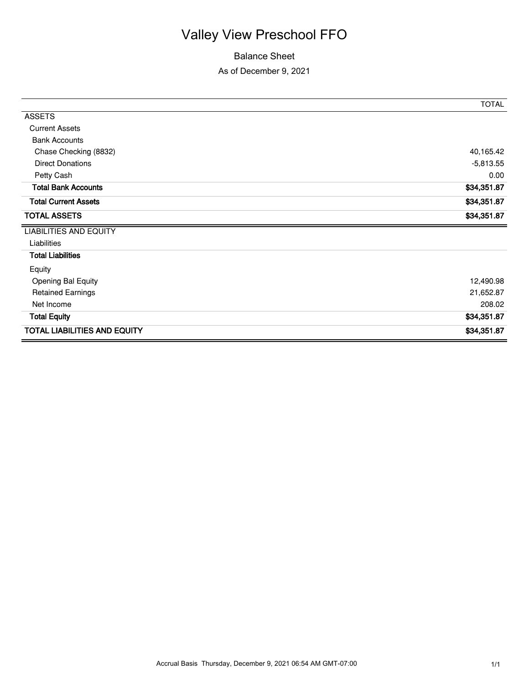## Valley View Preschool FFO

#### Balance Sheet

As of December 9, 2021

|                                     | <b>TOTAL</b> |
|-------------------------------------|--------------|
| <b>ASSETS</b>                       |              |
| <b>Current Assets</b>               |              |
| <b>Bank Accounts</b>                |              |
| Chase Checking (8832)               | 40,165.42    |
| <b>Direct Donations</b>             | $-5,813.55$  |
| Petty Cash                          | 0.00         |
| <b>Total Bank Accounts</b>          | \$34,351.87  |
| <b>Total Current Assets</b>         | \$34,351.87  |
| <b>TOTAL ASSETS</b>                 | \$34,351.87  |
| <b>LIABILITIES AND EQUITY</b>       |              |
| Liabilities                         |              |
| <b>Total Liabilities</b>            |              |
| Equity                              |              |
| <b>Opening Bal Equity</b>           | 12,490.98    |
| <b>Retained Earnings</b>            | 21,652.87    |
| Net Income                          | 208.02       |
| <b>Total Equity</b>                 | \$34,351.87  |
| <b>TOTAL LIABILITIES AND EQUITY</b> | \$34,351.87  |